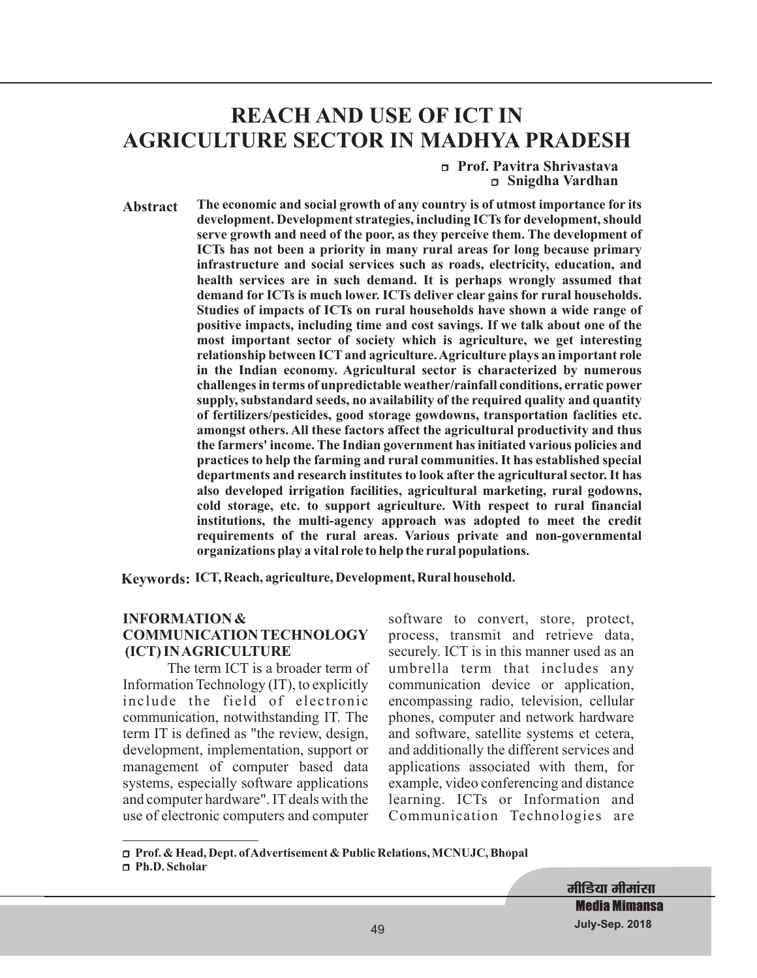# **REACH AND USE OF ICT IN AGRICULTURE SECTOR IN MADHYA PRADESH**

r **Prof. Pavitra Shrivastava** r **Snigdha Vardhan**

**Abstract The economic and social growth of any country is of utmost importance for its development. Development strategies, including ICTs for development, should serve growth and need of the poor, as they perceive them. The development of ICTs has not been a priority in many rural areas for long because primary infrastructure and social services such as roads, electricity, education, and health services are in such demand. It is perhaps wrongly assumed that demand for ICTs is much lower. ICTs deliver clear gains for rural households. Studies of impacts of ICTs on rural households have shown a wide range of positive impacts, including time and cost savings. If we talk about one of the most important sector of society which is agriculture, we get interesting relationship between ICT and agriculture.Agriculture plays an important role in the Indian economy. Agricultural sector is characterized by numerous challenges in terms of unpredictable weather/rainfall conditions, erratic power supply, substandard seeds, no availability of the required quality and quantity of fertilizers/pesticides, good storage gowdowns, transportation faclities etc. amongst others. All these factors affect the agricultural productivity and thus the farmers' income. The Indian government has initiated various policies and practices to help the farming and rural communities. It has established special departments and research institutes to look after the agricultural sector. It has also developed irrigation facilities, agricultural marketing, rural godowns, cold storage, etc. to support agriculture. With respect to rural financial institutions, the multi-agency approach was adopted to meet the credit requirements of the rural areas. Various private and non-governmental organizations play a vital role to help the rural populations.**

**Keywords: ICT, Reach, agriculture, Development, Rural household.**

#### **INFORMATION & COMMUNICATION TECHNOLOGY (ICT) INAGRICULTURE**

The term ICT is a broader term of Information Technology (IT), to explicitly include the field of electronic communication, notwithstanding IT. The term IT is defined as "the review, design, development, implementation, support or management of computer based data systems, especially software applications and computer hardware". IT deals with the use of electronic computers and computer software to convert, store, protect, process, transmit and retrieve data, securely. ICT is in this manner used as an umbrella term that includes any communication device or application, encompassing radio, television, cellular phones, computer and network hardware and software, satellite systems et cetera, and additionally the different services and applications associated with them, for example, video conferencing and distance learning. ICTs or Information and Communication Technologies are

r **Prof. & Head, Dept. ofAdvertisement & Public Relations, MCNUJC, Bhopal** □ Ph.D. Scholar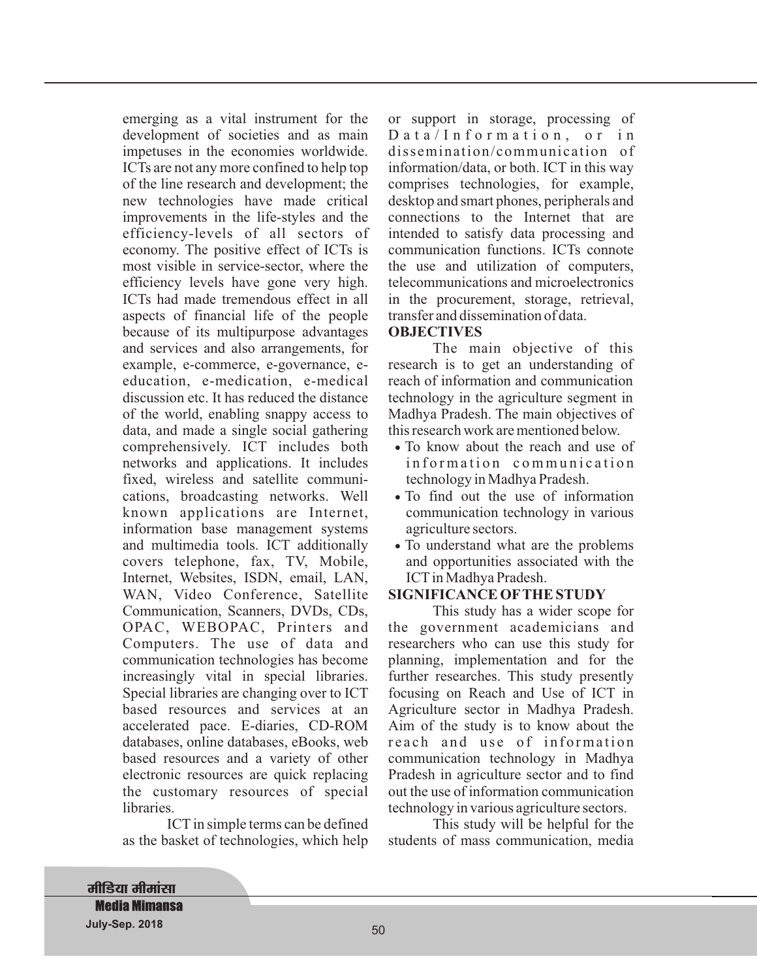emerging as a vital instrument for the development of societies and as main impetuses in the economies worldwide. ICTs are not any more confined to help top of the line research and development; the new technologies have made critical improvements in the life-styles and the efficiency-levels of all sectors of economy. The positive effect of ICTs is most visible in service-sector, where the efficiency levels have gone very high. ICTs had made tremendous effect in all aspects of financial life of the people because of its multipurpose advantages and services and also arrangements, for example, e-commerce, e-governance, eeducation, e-medication, e-medical discussion etc. It has reduced the distance of the world, enabling snappy access to data, and made a single social gathering comprehensively. ICT includes both networks and applications. It includes fixed, wireless and satellite communications, broadcasting networks. Well known applications are Internet, information base management systems and multimedia tools. ICT additionally covers telephone, fax, TV, Mobile, Internet, Websites, ISDN, email, LAN, WAN, Video Conference, Satellite Communication, Scanners, DVDs, CDs, OPAC, WEBOPAC, Printers and Computers. The use of data and communication technologies has become increasingly vital in special libraries. Special libraries are changing over to ICT based resources and services at an accelerated pace. E-diaries, CD-ROM databases, online databases, eBooks, web based resources and a variety of other electronic resources are quick replacing the customary resources of special libraries.

ICT in simple terms can be defined as the basket of technologies, which help or support in storage, processing of Data/Information, or in dissemination/communication of information/data, or both. ICT in this way comprises technologies, for example, desktop and smart phones, peripherals and connections to the Internet that are intended to satisfy data processing and communication functions. ICTs connote the use and utilization of computers, telecommunications and microelectronics in the procurement, storage, retrieval, transfer and dissemination of data.

#### **OBJECTIVES**

The main objective of this research is to get an understanding of reach of information and communication technology in the agriculture segment in Madhya Pradesh. The main objectives of this research work are mentioned below.

- To know about the reach and use of information communication technology in Madhya Pradesh.
- To find out the use of information · communication technology in various agriculture sectors.
- To understand what are the problems · and opportunities associated with the ICT in Madhya Pradesh.

#### **SIGNIFICANCE OFTHE STUDY**

This study has a wider scope for the government academicians and researchers who can use this study for planning, implementation and for the further researches. This study presently focusing on Reach and Use of ICT in Agriculture sector in Madhya Pradesh. Aim of the study is to know about the reach and use of information communication technology in Madhya Pradesh in agriculture sector and to find out the use of information communication technology in various agriculture sectors.

This study will be helpful for the students of mass communication, media

**मीडिया मीमांसा Media Mimansa July-Sep. 2018** 51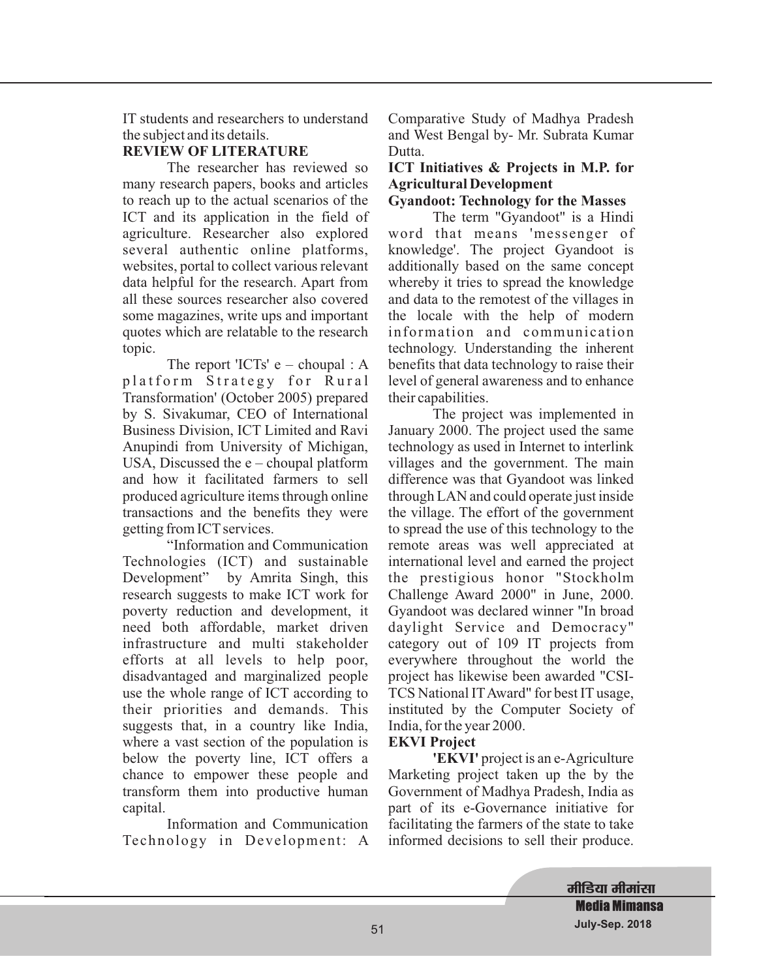IT students and researchers to understand the subject and its details.

# **REVIEW OF LITERATURE**

The researcher has reviewed so many research papers, books and articles to reach up to the actual scenarios of the ICT and its application in the field of agriculture. Researcher also explored several authentic online platforms, websites, portal to collect various relevant data helpful for the research. Apart from all these sources researcher also covered some magazines, write ups and important quotes which are relatable to the research topic.

The report 'ICTs' e – choupal : A platform Strategy for Rural Transformation' (October 2005) prepared by S. Sivakumar, CEO of International Business Division, ICT Limited and Ravi Anupindi from University of Michigan, USA, Discussed the  $e$  – choupal platform and how it facilitated farmers to sell produced agriculture items through online transactions and the benefits they were getting from ICT services.

"Information and Communication Technologies (ICT) and sustainable Development" by Amrita Singh, this research suggests to make ICT work for poverty reduction and development, it need both affordable, market driven infrastructure and multi stakeholder efforts at all levels to help poor, disadvantaged and marginalized people use the whole range of ICT according to their priorities and demands. This suggests that, in a country like India, where a vast section of the population is below the poverty line, ICT offers a chance to empower these people and transform them into productive human capital.

Information and Communication Technology in Development: A Comparative Study of Madhya Pradesh and West Bengal by- Mr. Subrata Kumar Dutta.

# **ICT Initiatives & Projects in M.P. for Agricultural Development**

**Gyandoot: Technology for the Masses**

The term "Gyandoot" is a Hindi word that means 'messenger of knowledge'. The project Gyandoot is additionally based on the same concept whereby it tries to spread the knowledge and data to the remotest of the villages in the locale with the help of modern information and communication technology. Understanding the inherent benefits that data technology to raise their level of general awareness and to enhance their capabilities.

The project was implemented in January 2000. The project used the same technology as used in Internet to interlink villages and the government. The main difference was that Gyandoot was linked through LAN and could operate just inside the village. The effort of the government to spread the use of this technology to the remote areas was well appreciated at international level and earned the project the prestigious honor "Stockholm Challenge Award 2000" in June, 2000. Gyandoot was declared winner "In broad daylight Service and Democracy" category out of 109 IT projects from everywhere throughout the world the project has likewise been awarded "CSI-TCS National ITAward" for best IT usage, instituted by the Computer Society of India, for the year 2000.

# **EKVI Project**

**'EKVI'** project is an e-Agriculture Marketing project taken up the by the Government of Madhya Pradesh, India as part of its e-Governance initiative for facilitating the farmers of the state to take informed decisions to sell their produce.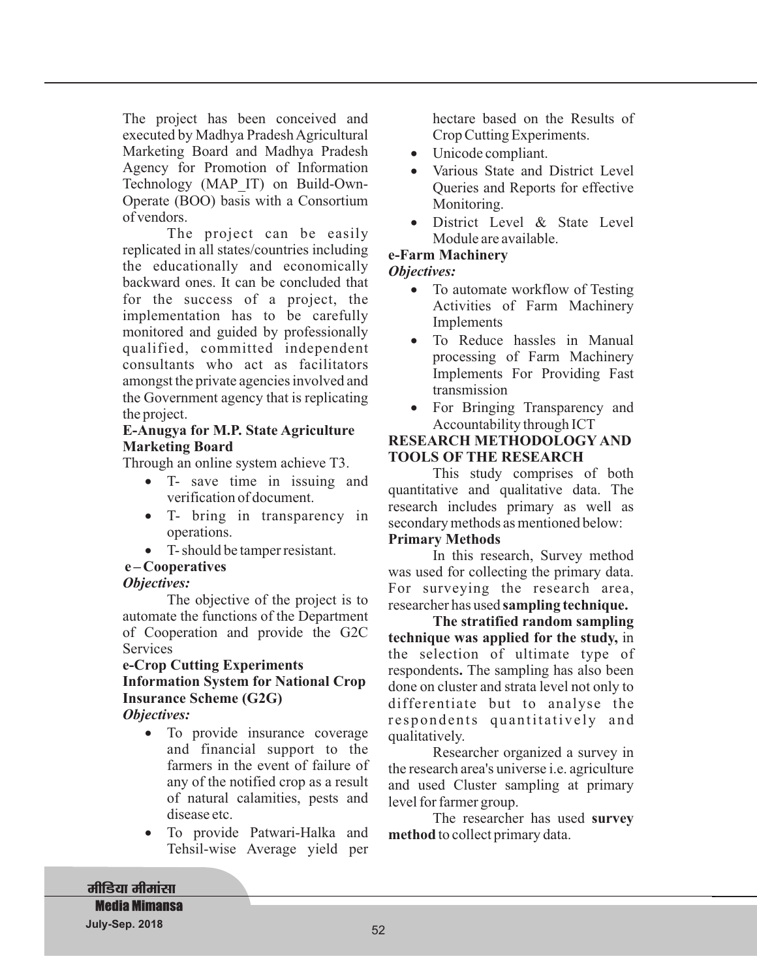The project has been conceived and executed by Madhya Pradesh Agricultural Marketing Board and Madhya Pradesh Agency for Promotion of Information Technology (MAP\_IT) on Build-Own-Operate (BOO) basis with a Consortium of vendors.

The project can be easily replicated in all states/countries including the educationally and economically backward ones. It can be concluded that for the success of a project, the implementation has to be carefully monitored and guided by professionally qualified, committed independent consultants who act as facilitators amongst the private agencies involved and the Government agency that is replicating the project.

#### **E-Anugya for M.P. State Agriculture Marketing Board**

Through an online system achieve T3.

- T- save time in issuing and verification of document. ·
- T- bring in transparency in operations.
- T- should be tamper resistant.

# **e – Cooperatives**

# *Objectives:*

The objective of the project is to automate the functions of the Department of Cooperation and provide the G2C **Services** 

# **e-Crop Cutting Experiments Information System for National Crop Insurance Scheme (G2G)**

*Objectives:*

- To provide insurance coverage · and financial support to the farmers in the event of failure of any of the notified crop as a result of natural calamities, pests and disease etc.
- To provide Patwari-Halka and Tehsil-wise Average yield per ·

hectare based on the Results of Crop Cutting Experiments.

- Unicode compliant.
- Various State and District Level Queries and Reports for effective Monitoring.
- District Level & State Level Module are available. ·

# **e-Farm Machinery**

#### *Objectives:*

- To automate workflow of Testing Activities of Farm Machinery Implements ·
- To Reduce hassles in Manual processing of Farm Machinery Implements For Providing Fast transmission ·
- For Bringing Transparency and Accountability through ICT ·

#### **RESEARCH METHODOLOGY AND TOOLS OF THE RESEARCH**

This study comprises of both quantitative and qualitative data. The research includes primary as well as secondary methods as mentioned below:

#### **Primary Methods**

In this research, Survey method was used for collecting the primary data. For surveying the research area, researcher has used **sampling technique.**

technique was applied for the study, in the selection of ultimate type of respondents. The sampling has also been done on cluster and strata level not only to differentiate but to analyse the respondents quantitatively and qualitatively. **The stratified random sampling**

Researcher organized a survey in the research area's universe i.e. agriculture and used Cluster sampling at primary level for farmer group.

The researcher has used **survey** method to collect primary data.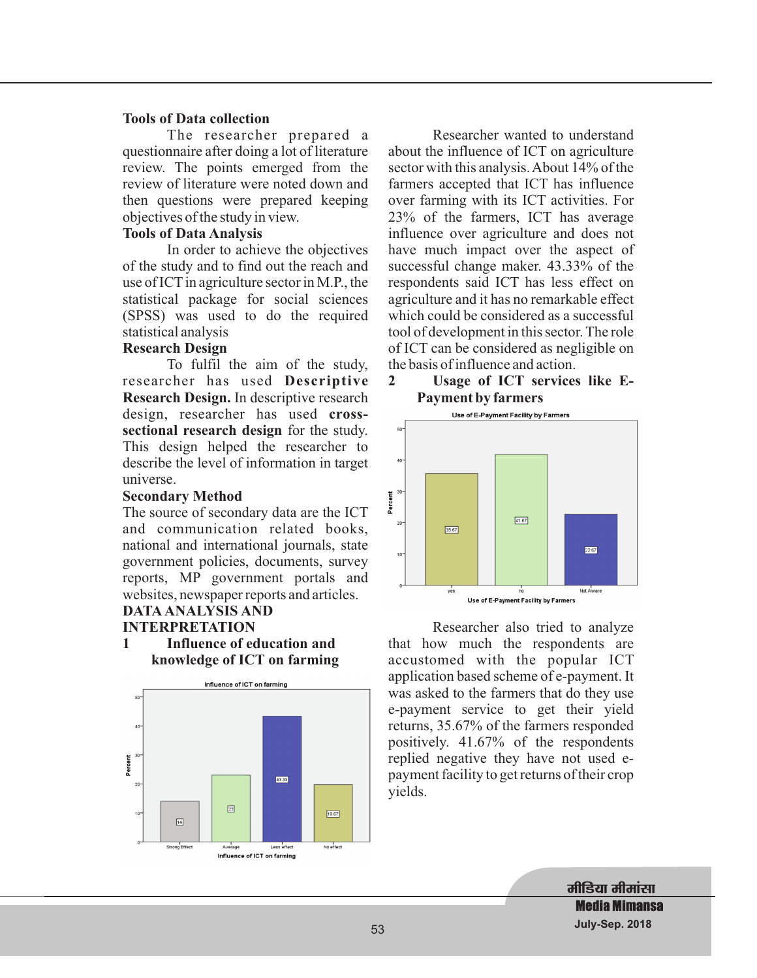#### **Tools of Data collection**

The researcher prepared a questionnaire after doing a lot of literature review. The points emerged from the review of literature were noted down and then questions were prepared keeping objectives of the study in view.

#### **Tools of Data Analysis**

In order to achieve the objectives of the study and to find out the reach and use of ICT in agriculture sector in M.P., the statistical package for social sciences (SPSS) was used to do the required statistical analysis

#### **Research Design**

**Descriptive** researcher has used **Research Design.** In descriptive research design, researcher has used cross**sectional research design** for the study. To fulfil the aim of the study, This design helped the researcher to describe the level of information in target universe.

#### **Secondary Method**

The source of secondary data are the ICT and communication related books, national and international journals, state government policies, documents, survey reports, MP government portals and websites, newspaper reports and articles.

#### **DATA ANALYSIS AND INTERPRETATION**

**1 Influence of education and knowledge of ICT on farming**



Researcher wanted to understand about the influence of ICT on agriculture sector with this analysis.About 14% of the farmers accepted that ICT has influence over farming with its ICT activities. For 23% of the farmers, ICT has average influence over agriculture and does not have much impact over the aspect of successful change maker. 43.33% of the respondents said ICT has less effect on agriculture and it has no remarkable effect which could be considered as a successful tool of development in this sector. The role of ICT can be considered as negligible on the basis of influence and action.

# **2 Usage of ICT services like E-Payment by farmers**



Researcher also tried to analyze that how much the respondents are accustomed with the popular ICT application based scheme of e-payment. It was asked to the farmers that do they use e-payment service to get their yield returns, 35.67% of the farmers responded positively. 41.67% of the respondents replied negative they have not used epayment facility to get returns of their crop yields.

> मीडिया मीमां**सा Media Mimansa July-Sep. 2018**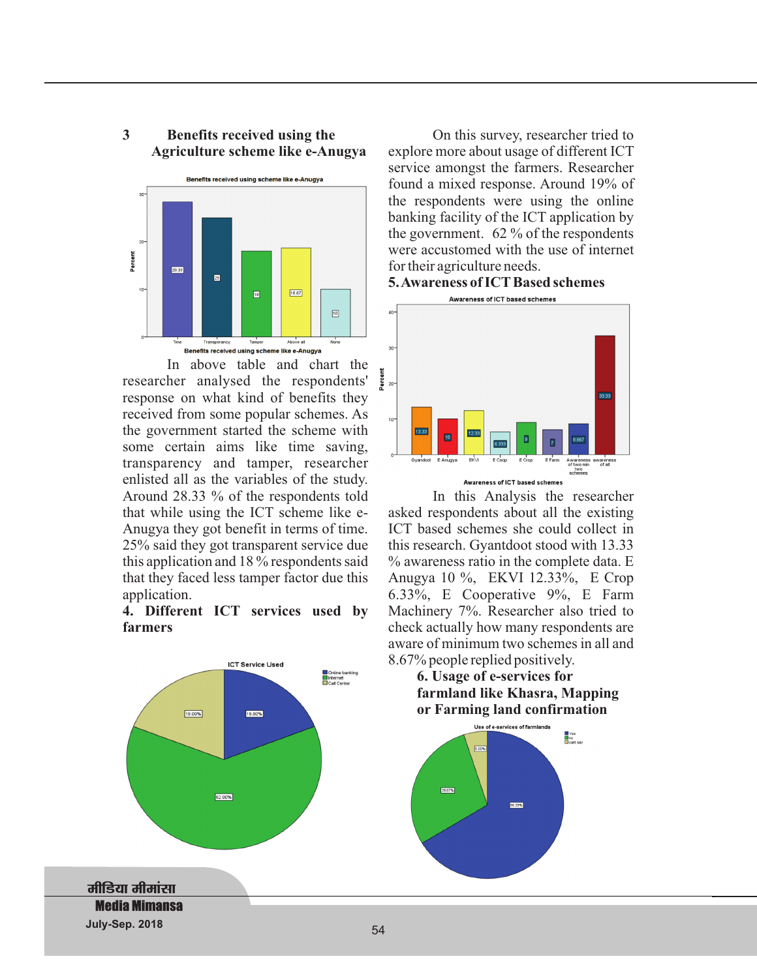#### **3 Benefits received using the Agriculture scheme like e-Anugya**



In above table and chart the researcher analysed the respondents' response on what kind of benefits they received from some popular schemes. As the government started the scheme with some certain aims like time saving, transparency and tamper, researcher enlisted all as the variables of the study. Around 28.33 % of the respondents told that while using the ICT scheme like e-Anugya they got benefit in terms of time. 25% said they got transparent service due this application and 18 % respondents said that they faced less tamper factor due this application.

**4. Different ICT services used by farmers**



On this survey, researcher tried to explore more about usage of different ICT service amongst the farmers. Researcher found a mixed response. Around 19% of the respondents were using the online banking facility of the ICT application by the government. 62 % of the respondents were accustomed with the use of internet for their agriculture needs.





In this Analysis the researcher asked respondents about all the existing ICT based schemes she could collect in this research. Gyantdoot stood with 13.33 % awareness ratio in the complete data. E Anugya 10 %, EKVI 12.33%, E Crop 6.33%, E Cooperative 9%, E Farm Machinery 7%. Researcher also tried to check actually how many respondents are aware of minimum two schemes in all and 8.67% people replied positively.



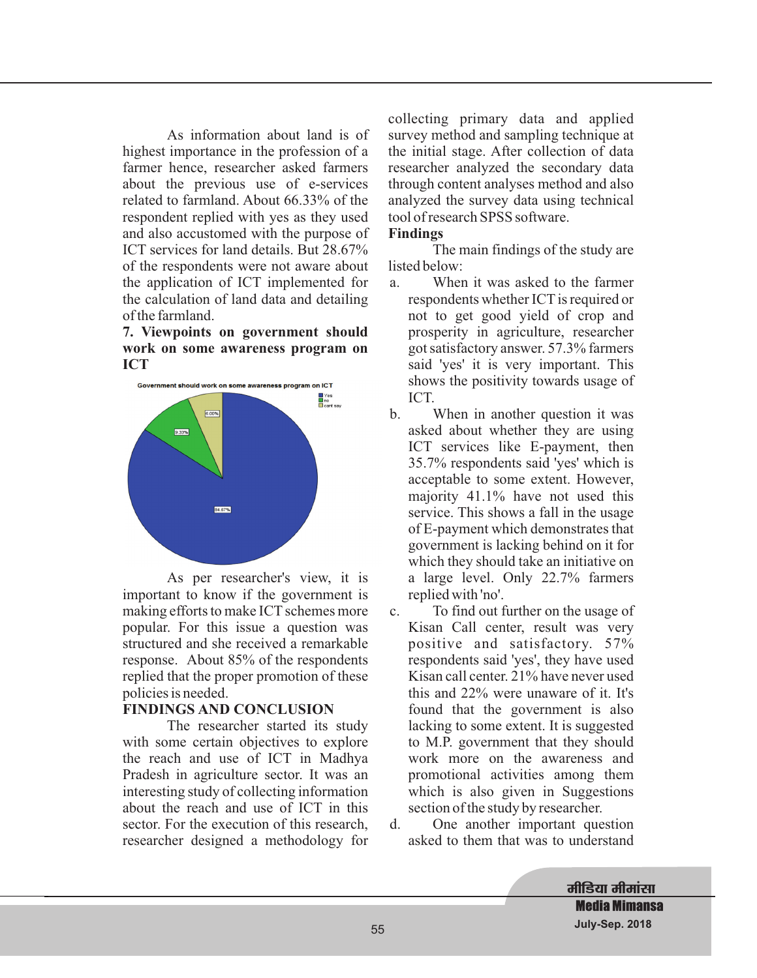As information about land is of highest importance in the profession of a farmer hence, researcher asked farmers about the previous use of e-services related to farmland. About 66.33% of the respondent replied with yes as they used and also accustomed with the purpose of ICT services for land details. But 28.67% of the respondents were not aware about the application of ICT implemented for the calculation of land data and detailing of the farmland.

#### **7. Viewpoints on government should work on some awareness program on ICT**



As per researcher's view, it is important to know if the government is making efforts to make ICT schemes more popular. For this issue a question was structured and she received a remarkable response. About 85% of the respondents replied that the proper promotion of these policies is needed.

#### **FINDINGS AND CONCLUSION**

The researcher started its study with some certain objectives to explore the reach and use of ICT in Madhya Pradesh in agriculture sector. It was an interesting study of collecting information about the reach and use of ICT in this sector. For the execution of this research, researcher designed a methodology for

collecting primary data and applied survey method and sampling technique at the initial stage. After collection of data researcher analyzed the secondary data through content analyses method and also analyzed the survey data using technical tool of research SPSS software.

### **Findings**

The main findings of the study are listed below:

- a. When it was asked to the farmer respondents whether ICT is required or not to get good yield of crop and prosperity in agriculture, researcher got satisfactory answer. 57.3% farmers said 'yes' it is very important. This shows the positivity towards usage of ICT.
- b. When in another question it was asked about whether they are using ICT services like E-payment, then 35.7% respondents said 'yes' which is acceptable to some extent. However, majority 41.1% have not used this service. This shows a fall in the usage of E-payment which demonstrates that government is lacking behind on it for which they should take an initiative on a large level. Only 22.7% farmers replied with 'no'.
- c. To find out further on the usage of Kisan Call center, result was very positive and satisfactory. 57% respondents said 'yes', they have used Kisan call center. 21% have never used this and 22% were unaware of it. It's found that the government is also lacking to some extent. It is suggested to M.P. government that they should work more on the awareness and promotional activities among them which is also given in Suggestions section of the study by researcher.
- d. One another important question asked to them that was to understand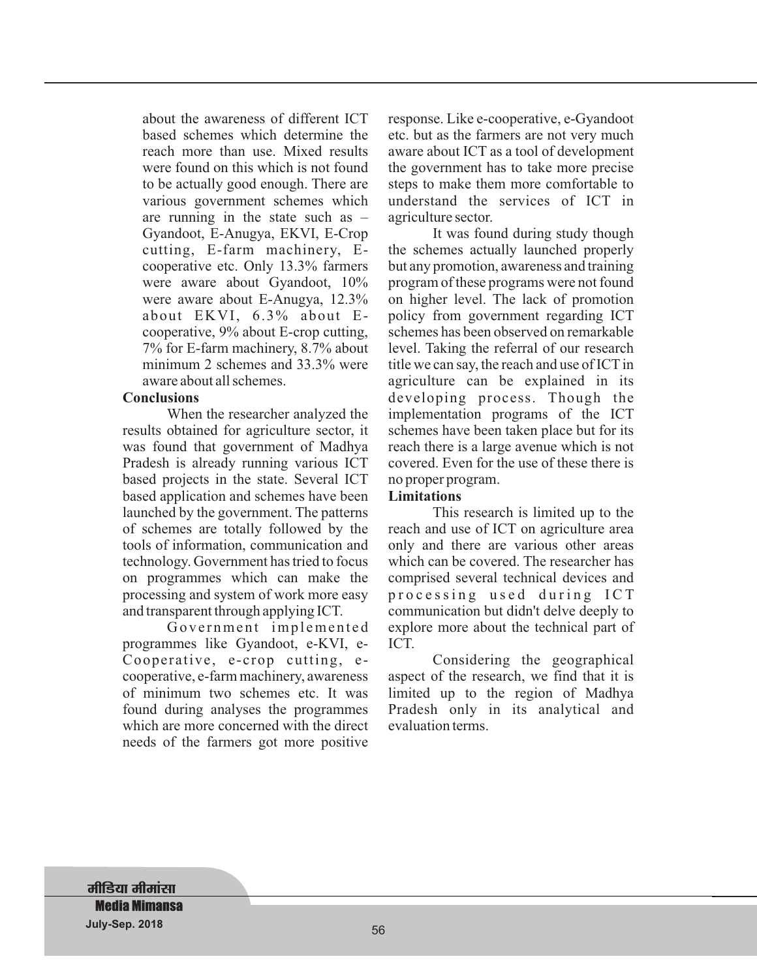about the awareness of different ICT based schemes which determine the reach more than use. Mixed results were found on this which is not found to be actually good enough. There are various government schemes which are running in the state such as – Gyandoot, E-Anugya, EKVI, E-Crop cutting, E-farm machinery, Ecooperative etc. Only 13.3% farmers were aware about Gyandoot, 10% were aware about E-Anugya, 12.3% about EKVI, 6.3% about Ecooperative, 9% about E-crop cutting, 7% for E-farm machinery, 8.7% about minimum 2 schemes and 33.3% were aware about all schemes.

#### **Conclusions**

When the researcher analyzed the results obtained for agriculture sector, it was found that government of Madhya Pradesh is already running various ICT based projects in the state. Several ICT based application and schemes have been launched by the government. The patterns of schemes are totally followed by the tools of information, communication and technology. Government has tried to focus on programmes which can make the processing and system of work more easy and transparent through applying ICT.

Government implemented programmes like Gyandoot, e-KVI, e-Cooperative, e-crop cutting, ecooperative, e-farm machinery, awareness of minimum two schemes etc. It was found during analyses the programmes which are more concerned with the direct needs of the farmers got more positive

response. Like e-cooperative, e-Gyandoot etc. but as the farmers are not very much aware about ICT as a tool of development the government has to take more precise steps to make them more comfortable to understand the services of ICT in agriculture sector.

It was found during study though the schemes actually launched properly but any promotion, awareness and training program of these programs were not found on higher level. The lack of promotion policy from government regarding ICT schemes has been observed on remarkable level. Taking the referral of our research title we can say, the reach and use of ICT in agriculture can be explained in its developing process. Though the implementation programs of the ICT schemes have been taken place but for its reach there is a large avenue which is not covered. Even for the use of these there is no proper program.

#### **Limitations**

This research is limited up to the reach and use of ICT on agriculture area only and there are various other areas which can be covered. The researcher has comprised several technical devices and processing used during ICT communication but didn't delve deeply to explore more about the technical part of ICT.

Considering the geographical aspect of the research, we find that it is limited up to the region of Madhya Pradesh only in its analytical and evaluation terms.

**मीडिया मीमांसा Media Mimansa July-Sep. 2018** 57